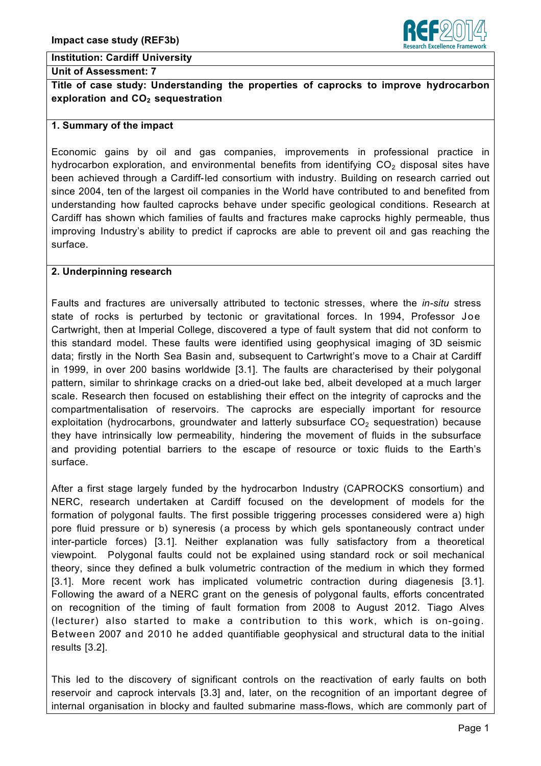

### **Institution: Cardiff University**

#### **Unit of Assessment: 7**

**Title of case study: Understanding the properties of caprocks to improve hydrocarbon exploration and CO<sub>2</sub> sequestration** 

#### **1. Summary of the impact**

Economic gains by oil and gas companies, improvements in professional practice in hydrocarbon exploration, and environmental benefits from identifying  $CO<sub>2</sub>$  disposal sites have been achieved through a Cardiff-led consortium with industry. Building on research carried out since 2004, ten of the largest oil companies in the World have contributed to and benefited from understanding how faulted caprocks behave under specific geological conditions. Research at Cardiff has shown which families of faults and fractures make caprocks highly permeable, thus improving Industry's ability to predict if caprocks are able to prevent oil and gas reaching the surface.

### **2. Underpinning research**

Faults and fractures are universally attributed to tectonic stresses, where the *in-situ* stress state of rocks is perturbed by tectonic or gravitational forces. In 1994, Professor Joe Cartwright, then at Imperial College, discovered a type of fault system that did not conform to this standard model. These faults were identified using geophysical imaging of 3D seismic data; firstly in the North Sea Basin and, subsequent to Cartwright's move to a Chair at Cardiff in 1999, in over 200 basins worldwide [3.1]. The faults are characterised by their polygonal pattern, similar to shrinkage cracks on a dried-out lake bed, albeit developed at a much larger scale. Research then focused on establishing their effect on the integrity of caprocks and the compartmentalisation of reservoirs. The caprocks are especially important for resource exploitation (hydrocarbons, groundwater and latterly subsurface  $CO<sub>2</sub>$  sequestration) because they have intrinsically low permeability, hindering the movement of fluids in the subsurface and providing potential barriers to the escape of resource or toxic fluids to the Earth's surface.

After a first stage largely funded by the hydrocarbon Industry (CAPROCKS consortium) and NERC, research undertaken at Cardiff focused on the development of models for the formation of polygonal faults. The first possible triggering processes considered were a) high pore fluid pressure or b) syneresis (a process by which gels spontaneously contract under inter-particle forces) [3.1]. Neither explanation was fully satisfactory from a theoretical viewpoint. Polygonal faults could not be explained using standard rock or soil mechanical theory, since they defined a bulk volumetric contraction of the medium in which they formed [3.1]. More recent work has implicated volumetric contraction during diagenesis [3.1]. Following the award of a NERC grant on the genesis of polygonal faults, efforts concentrated on recognition of the timing of fault formation from 2008 to August 2012. Tiago Alves (lecturer) also started to make a contribution to this work, which is on-going. Between 2007 and 2010 he added quantifiable geophysical and structural data to the initial results [3.2].

This led to the discovery of significant controls on the reactivation of early faults on both reservoir and caprock intervals [3.3] and, later, on the recognition of an important degree of internal organisation in blocky and faulted submarine mass-flows, which are commonly part of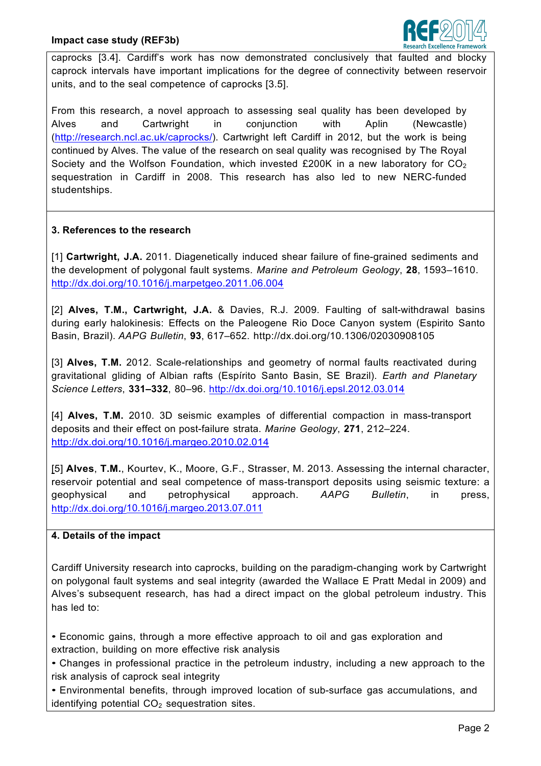

caprocks [3.4]. Cardiff's work has now demonstrated conclusively that faulted and blocky caprock intervals have important implications for the degree of connectivity between reservoir units, and to the seal competence of caprocks [3.5].

From this research, a novel approach to assessing seal quality has been developed by Alves and Cartwright in conjunction with Aplin (Newcastle) (http://research.ncl.ac.uk/caprocks/). Cartwright left Cardiff in 2012, but the work is being continued by Alves. The value of the research on seal quality was recognised by The Royal Society and the Wolfson Foundation, which invested £200K in a new laboratory for  $CO<sub>2</sub>$ sequestration in Cardiff in 2008. This research has also led to new NERC-funded studentships.

## **3. References to the research**

[1] **Cartwright, J.A.** 2011. Diagenetically induced shear failure of fine-grained sediments and the development of polygonal fault systems. *Marine and Petroleum Geology*, **28**, 1593–1610. http://dx.doi.org/10.1016/j.marpetgeo.2011.06.004

[2] **Alves, T.M., Cartwright, J.A.** & Davies, R.J. 2009. Faulting of salt-withdrawal basins during early halokinesis: Effects on the Paleogene Rio Doce Canyon system (Espirito Santo Basin, Brazil). *AAPG Bulletin*, **93**, 617–652. http://dx.doi.org/10.1306/02030908105

[3] **Alves, T.M.** 2012. Scale-relationships and geometry of normal faults reactivated during gravitational gliding of Albian rafts (Espírito Santo Basin, SE Brazil). *Earth and Planetary Science Letters*, **331–332**, 80–96. http://dx.doi.org/10.1016/j.epsl.2012.03.014

[4] **Alves, T.M.** 2010. 3D seismic examples of differential compaction in mass-transport deposits and their effect on post-failure strata. *Marine Geology*, **271**, 212–224. http://dx.doi.org/10.1016/j.margeo.2010.02.014

[5] **Alves**, **T.M.**, Kourtev, K., Moore, G.F., Strasser, M. 2013. Assessing the internal character, reservoir potential and seal competence of mass-transport deposits using seismic texture: a geophysical and petrophysical approach. *AAPG Bulletin*, in press, http://dx.doi.org/10.1016/j.margeo.2013.07.011

### **4. Details of the impact**

Cardiff University research into caprocks, building on the paradigm-changing work by Cartwright on polygonal fault systems and seal integrity (awarded the Wallace E Pratt Medal in 2009) and Alves's subsequent research, has had a direct impact on the global petroleum industry. This has led to:

• Economic gains, through a more effective approach to oil and gas exploration and extraction, building on more effective risk analysis

• Changes in professional practice in the petroleum industry, including a new approach to the risk analysis of caprock seal integrity

• Environmental benefits, through improved location of sub-surface gas accumulations, and identifying potential  $CO<sub>2</sub>$  sequestration sites.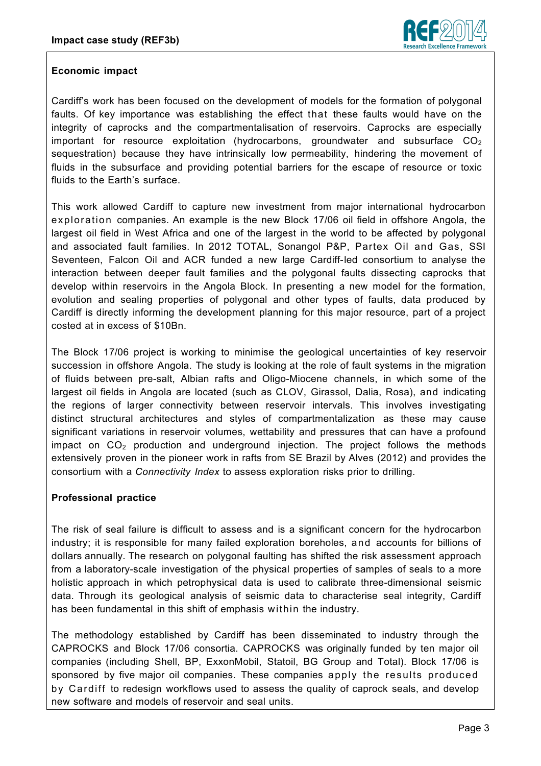

## **Economic impact**

Cardiff's work has been focused on the development of models for the formation of polygonal faults. Of key importance was establishing the effect that these faults would have on the integrity of caprocks and the compartmentalisation of reservoirs. Caprocks are especially important for resource exploitation (hydrocarbons, groundwater and subsurface  $CO<sub>2</sub>$ sequestration) because they have intrinsically low permeability, hindering the movement of fluids in the subsurface and providing potential barriers for the escape of resource or toxic fluids to the Earth's surface.

This work allowed Cardiff to capture new investment from major international hydrocarbon exploration companies. An example is the new Block 17/06 oil field in offshore Angola, the largest oil field in West Africa and one of the largest in the world to be affected by polygonal and associated fault families. In 2012 TOTAL, Sonangol P&P, Partex Oil and Gas, SSI Seventeen, Falcon Oil and ACR funded a new large Cardiff-led consortium to analyse the interaction between deeper fault families and the polygonal faults dissecting caprocks that develop within reservoirs in the Angola Block. In presenting a new model for the formation, evolution and sealing properties of polygonal and other types of faults, data produced by Cardiff is directly informing the development planning for this major resource, part of a project costed at in excess of \$10Bn.

The Block 17/06 project is working to minimise the geological uncertainties of key reservoir succession in offshore Angola. The study is looking at the role of fault systems in the migration of fluids between pre-salt, Albian rafts and Oligo-Miocene channels, in which some of the largest oil fields in Angola are located (such as CLOV, Girassol, Dalia, Rosa), and indicating the regions of larger connectivity between reservoir intervals. This involves investigating distinct structural architectures and styles of compartmentalization as these may cause significant variations in reservoir volumes, wettability and pressures that can have a profound impact on  $CO<sub>2</sub>$  production and underground injection. The project follows the methods extensively proven in the pioneer work in rafts from SE Brazil by Alves (2012) and provides the consortium with a *Connectivity Index* to assess exploration risks prior to drilling.

# **Professional practice**

The risk of seal failure is difficult to assess and is a significant concern for the hydrocarbon industry; it is responsible for many failed exploration boreholes, and accounts for billions of dollars annually. The research on polygonal faulting has shifted the risk assessment approach from a laboratory-scale investigation of the physical properties of samples of seals to a more holistic approach in which petrophysical data is used to calibrate three-dimensional seismic data. Through its geological analysis of seismic data to characterise seal integrity, Cardiff has been fundamental in this shift of emphasis within the industry.

The methodology established by Cardiff has been disseminated to industry through the CAPROCKS and Block 17/06 consortia. CAPROCKS was originally funded by ten major oil companies (including Shell, BP, ExxonMobil, Statoil, BG Group and Total). Block 17/06 is sponsored by five major oil companies. These companies apply the results produced by Cardiff to redesign workflows used to assess the quality of caprock seals, and develop new software and models of reservoir and seal units.